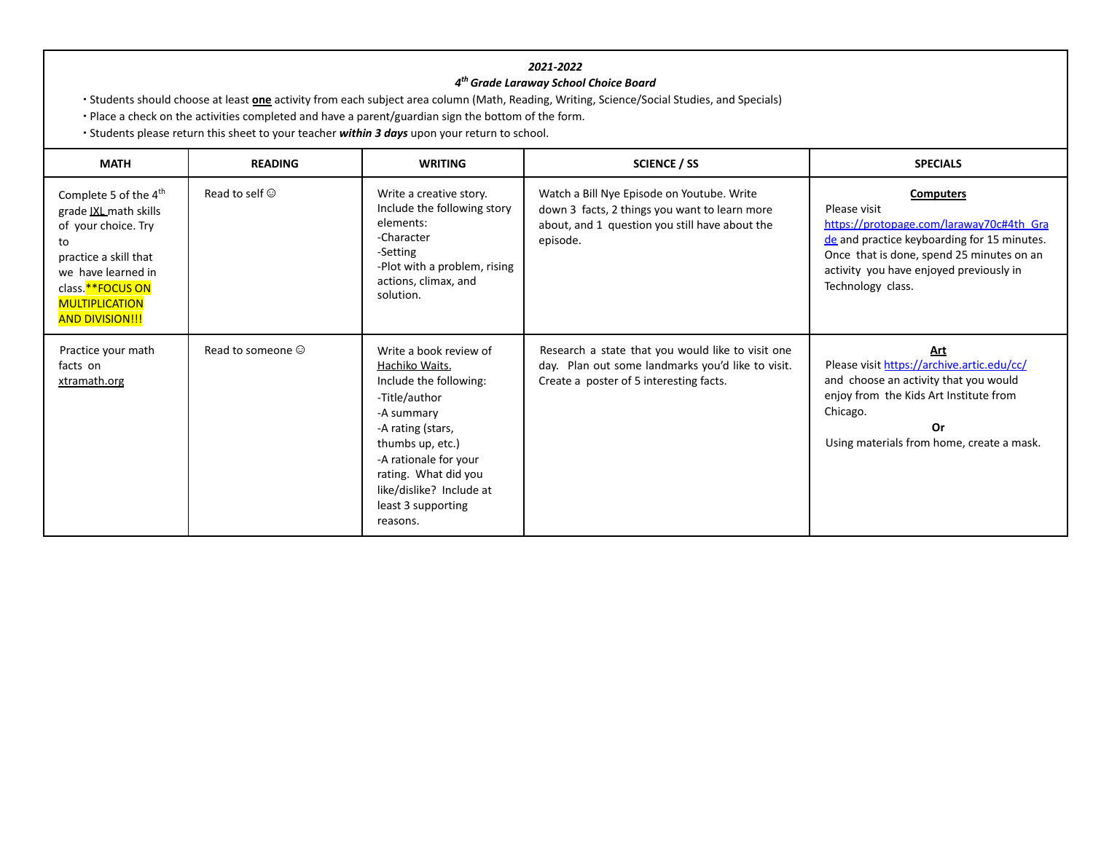## *2021-2022*

## *4 thGrade Laraway School Choice Board*

∙ Students should choose at least **one** activity from each subject area column (Math, Reading, Writing, Science/Social Studies, and Specials)

∙ Place a check on the activities completed and have a parent/guardian sign the bottom of the form.

∙ Students please return this sheet to your teacher *within 3 days* upon your return to school.

| <b>MATH</b>                                                                                                                                                                                                   | <b>READING</b>          | <b>WRITING</b>                                                                                                                                                                                                                                            | <b>SCIENCE / SS</b>                                                                                                                                       | <b>SPECIALS</b>                                                                                                                                                                                                                          |
|---------------------------------------------------------------------------------------------------------------------------------------------------------------------------------------------------------------|-------------------------|-----------------------------------------------------------------------------------------------------------------------------------------------------------------------------------------------------------------------------------------------------------|-----------------------------------------------------------------------------------------------------------------------------------------------------------|------------------------------------------------------------------------------------------------------------------------------------------------------------------------------------------------------------------------------------------|
| Complete 5 of the 4 <sup>th</sup><br>grade IXL math skills<br>of your choice. Try<br>to<br>practice a skill that<br>we have learned in<br>class.**FOCUS ON<br><b>MULTIPLICATION</b><br><b>AND DIVISION!!!</b> | Read to self $\odot$    | Write a creative story.<br>Include the following story<br>elements:<br>-Character<br>-Setting<br>-Plot with a problem, rising<br>actions, climax, and<br>solution.                                                                                        | Watch a Bill Nye Episode on Youtube. Write<br>down 3 facts, 2 things you want to learn more<br>about, and 1 question you still have about the<br>episode. | <b>Computers</b><br>Please visit<br>https://protopage.com/laraway70c#4th Gra<br>de and practice keyboarding for 15 minutes.<br>Once that is done, spend 25 minutes on an<br>activity you have enjoyed previously in<br>Technology class. |
| Practice your math<br>facts on<br><u>xtramath.org</u>                                                                                                                                                         | Read to someone $\odot$ | Write a book review of<br>Hachiko Waits.<br>Include the following:<br>-Title/author<br>-A summary<br>-A rating (stars,<br>thumbs up, etc.)<br>-A rationale for your<br>rating. What did you<br>like/dislike? Include at<br>least 3 supporting<br>reasons. | Research a state that you would like to visit one<br>day. Plan out some landmarks you'd like to visit.<br>Create a poster of 5 interesting facts.         | Art<br>Please visit https://archive.artic.edu/cc/<br>and choose an activity that you would<br>enjoy from the Kids Art Institute from<br>Chicago.<br>Or<br>Using materials from home, create a mask.                                      |